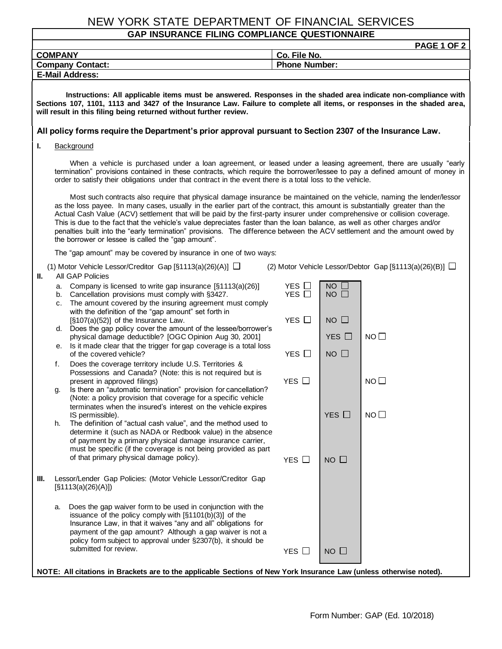## NEW YORK STATE DEPARTMENT OF FINANCIAL SERVICES

## **GAP INSURANCE FILING COMPLIANCE QUESTIONNAIRE**

| PAGE 1 OF 2                                                                                                                                                                                                                                                                                                                                                   |                                                                                                                                                                                                                                                                                                                                                                                                                                                                                                                                                                                                                                                                                                       |                                                                                                                                                                                                                                                                                                                         |                                      |                           |             |
|---------------------------------------------------------------------------------------------------------------------------------------------------------------------------------------------------------------------------------------------------------------------------------------------------------------------------------------------------------------|-------------------------------------------------------------------------------------------------------------------------------------------------------------------------------------------------------------------------------------------------------------------------------------------------------------------------------------------------------------------------------------------------------------------------------------------------------------------------------------------------------------------------------------------------------------------------------------------------------------------------------------------------------------------------------------------------------|-------------------------------------------------------------------------------------------------------------------------------------------------------------------------------------------------------------------------------------------------------------------------------------------------------------------------|--------------------------------------|---------------------------|-------------|
| <b>COMPANY</b>                                                                                                                                                                                                                                                                                                                                                |                                                                                                                                                                                                                                                                                                                                                                                                                                                                                                                                                                                                                                                                                                       |                                                                                                                                                                                                                                                                                                                         | Co. File No.<br><b>Phone Number:</b> |                           |             |
| <b>Company Contact:</b><br><b>E-Mail Address:</b>                                                                                                                                                                                                                                                                                                             |                                                                                                                                                                                                                                                                                                                                                                                                                                                                                                                                                                                                                                                                                                       |                                                                                                                                                                                                                                                                                                                         |                                      |                           |             |
|                                                                                                                                                                                                                                                                                                                                                               |                                                                                                                                                                                                                                                                                                                                                                                                                                                                                                                                                                                                                                                                                                       |                                                                                                                                                                                                                                                                                                                         |                                      |                           |             |
| Instructions: All applicable items must be answered. Responses in the shaded area indicate non-compliance with<br>Sections 107, 1101, 1113 and 3427 of the Insurance Law. Failure to complete all items, or responses in the shaded area,<br>will result in this filing being returned without further review.                                                |                                                                                                                                                                                                                                                                                                                                                                                                                                                                                                                                                                                                                                                                                                       |                                                                                                                                                                                                                                                                                                                         |                                      |                           |             |
| All policy forms require the Department's prior approval pursuant to Section 2307 of the Insurance Law.                                                                                                                                                                                                                                                       |                                                                                                                                                                                                                                                                                                                                                                                                                                                                                                                                                                                                                                                                                                       |                                                                                                                                                                                                                                                                                                                         |                                      |                           |             |
| ı.<br>Background                                                                                                                                                                                                                                                                                                                                              |                                                                                                                                                                                                                                                                                                                                                                                                                                                                                                                                                                                                                                                                                                       |                                                                                                                                                                                                                                                                                                                         |                                      |                           |             |
| When a vehicle is purchased under a loan agreement, or leased under a leasing agreement, there are usually "early<br>termination" provisions contained in these contracts, which require the borrower/lessee to pay a defined amount of money in<br>order to satisfy their obligations under that contract in the event there is a total loss to the vehicle. |                                                                                                                                                                                                                                                                                                                                                                                                                                                                                                                                                                                                                                                                                                       |                                                                                                                                                                                                                                                                                                                         |                                      |                           |             |
|                                                                                                                                                                                                                                                                                                                                                               | Most such contracts also require that physical damage insurance be maintained on the vehicle, naming the lender/lessor<br>as the loss payee. In many cases, usually in the earlier part of the contract, this amount is substantially greater than the<br>Actual Cash Value (ACV) settlement that will be paid by the first-party insurer under comprehensive or collision coverage.<br>This is due to the fact that the vehicle's value depreciates faster than the loan balance, as well as other charges and/or<br>penalties built into the "early termination" provisions. The difference between the ACV settlement and the amount owed by<br>the borrower or lessee is called the "gap amount". |                                                                                                                                                                                                                                                                                                                         |                                      |                           |             |
| The "gap amount" may be covered by insurance in one of two ways:                                                                                                                                                                                                                                                                                              |                                                                                                                                                                                                                                                                                                                                                                                                                                                                                                                                                                                                                                                                                                       |                                                                                                                                                                                                                                                                                                                         |                                      |                           |             |
| (2) Motor Vehicle Lessor/Debtor Gap [§1113(a)(26)(B)] $\Box$<br>(1) Motor Vehicle Lessor/Creditor Gap [§1113(a)(26)(A)] $\Box$<br>Ш.<br>All GAP Policies                                                                                                                                                                                                      |                                                                                                                                                                                                                                                                                                                                                                                                                                                                                                                                                                                                                                                                                                       |                                                                                                                                                                                                                                                                                                                         |                                      |                           |             |
|                                                                                                                                                                                                                                                                                                                                                               | а.<br>b.<br>c.                                                                                                                                                                                                                                                                                                                                                                                                                                                                                                                                                                                                                                                                                        | Company is licensed to write gap insurance [§1113(a)(26)]<br>Cancellation provisions must comply with §3427.<br>The amount covered by the insuring agreement must comply<br>with the definition of the "gap amount" set forth in                                                                                        | YES $\Box$<br>YES $\Box$             | $NO$ $\square$<br>NO      |             |
|                                                                                                                                                                                                                                                                                                                                                               | d.                                                                                                                                                                                                                                                                                                                                                                                                                                                                                                                                                                                                                                                                                                    | [§107(a)(52)] of the Insurance Law.<br>Does the gap policy cover the amount of the lessee/borrower's                                                                                                                                                                                                                    | YES □                                | $NO$ $\Box$               |             |
|                                                                                                                                                                                                                                                                                                                                                               | е.                                                                                                                                                                                                                                                                                                                                                                                                                                                                                                                                                                                                                                                                                                    | physical damage deductible? [OGC Opinion Aug 30, 2001]<br>Is it made clear that the trigger for gap coverage is a total loss<br>of the covered vehicle?                                                                                                                                                                 | YES $\Box$                           | YES $\Box$<br>$NO$ $\Box$ | $NO$ $\Box$ |
|                                                                                                                                                                                                                                                                                                                                                               | f.                                                                                                                                                                                                                                                                                                                                                                                                                                                                                                                                                                                                                                                                                                    | Does the coverage territory include U.S. Territories &                                                                                                                                                                                                                                                                  |                                      |                           |             |
|                                                                                                                                                                                                                                                                                                                                                               |                                                                                                                                                                                                                                                                                                                                                                                                                                                                                                                                                                                                                                                                                                       | Possessions and Canada? (Note: this is not required but is<br>present in approved filings)                                                                                                                                                                                                                              | YES $\Box$                           |                           | $NO$ $\Box$ |
|                                                                                                                                                                                                                                                                                                                                                               | g.                                                                                                                                                                                                                                                                                                                                                                                                                                                                                                                                                                                                                                                                                                    | Is there an "automatic termination" provision for cancellation?<br>(Note: a policy provision that coverage for a specific vehicle                                                                                                                                                                                       |                                      |                           |             |
|                                                                                                                                                                                                                                                                                                                                                               |                                                                                                                                                                                                                                                                                                                                                                                                                                                                                                                                                                                                                                                                                                       | terminates when the insured's interest on the vehicle expires<br>IS permissible).                                                                                                                                                                                                                                       |                                      | YES $\Box$                | $NO$ $\Box$ |
|                                                                                                                                                                                                                                                                                                                                                               | h.                                                                                                                                                                                                                                                                                                                                                                                                                                                                                                                                                                                                                                                                                                    | The definition of "actual cash value", and the method used to<br>determine it (such as NADA or Redbook value) in the absence<br>of payment by a primary physical damage insurance carrier,                                                                                                                              |                                      |                           |             |
|                                                                                                                                                                                                                                                                                                                                                               |                                                                                                                                                                                                                                                                                                                                                                                                                                                                                                                                                                                                                                                                                                       | must be specific (if the coverage is not being provided as part                                                                                                                                                                                                                                                         |                                      |                           |             |
|                                                                                                                                                                                                                                                                                                                                                               |                                                                                                                                                                                                                                                                                                                                                                                                                                                                                                                                                                                                                                                                                                       | of that primary physical damage policy).                                                                                                                                                                                                                                                                                | YES $\Box$                           | $NO$ $\Box$               |             |
| Ш.                                                                                                                                                                                                                                                                                                                                                            |                                                                                                                                                                                                                                                                                                                                                                                                                                                                                                                                                                                                                                                                                                       | Lessor/Lender Gap Policies: (Motor Vehicle Lessor/Creditor Gap<br>[§1113(a)(26)(A)]                                                                                                                                                                                                                                     |                                      |                           |             |
|                                                                                                                                                                                                                                                                                                                                                               | a.                                                                                                                                                                                                                                                                                                                                                                                                                                                                                                                                                                                                                                                                                                    | Does the gap waiver form to be used in conjunction with the<br>issuance of the policy comply with $[§1101(b)(3)]$ of the<br>Insurance Law, in that it waives "any and all" obligations for<br>payment of the gap amount? Although a gap waiver is not a<br>policy form subject to approval under §2307(b), it should be |                                      |                           |             |
|                                                                                                                                                                                                                                                                                                                                                               |                                                                                                                                                                                                                                                                                                                                                                                                                                                                                                                                                                                                                                                                                                       | submitted for review.                                                                                                                                                                                                                                                                                                   | $YES$ $\Box$                         | $NO$ $\Box$               |             |
| NOTE: All citations in Brackets are to the applicable Sections of New York Insurance Law (unless otherwise noted).                                                                                                                                                                                                                                            |                                                                                                                                                                                                                                                                                                                                                                                                                                                                                                                                                                                                                                                                                                       |                                                                                                                                                                                                                                                                                                                         |                                      |                           |             |